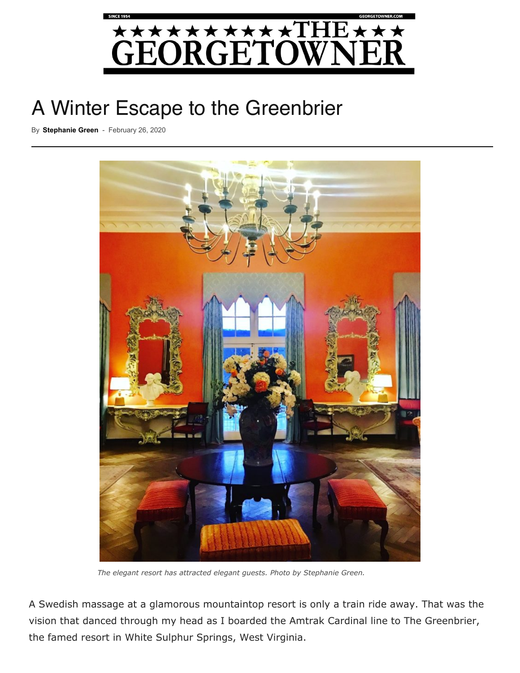

## A Wi[nter Escape to the Greenbrier](https://georgetowner.com/wp-content/uploads/2020/02/Greenbrier-1.jpg)

By **[Stephanie Green](https://georgetowner.com/articles/author/stephanie-green/)** - February 26, 2020



 *The elegant resort has attracted elegant guests. Photo by Stephanie Green.*

A Swedish massage at a glamorous mountaintop resort is only a train ride away. That was the vision that danced through my head as I boarded the Amtrak Cardinal line to The Greenbrier, the famed resort in White Sulphur Springs, West Virginia.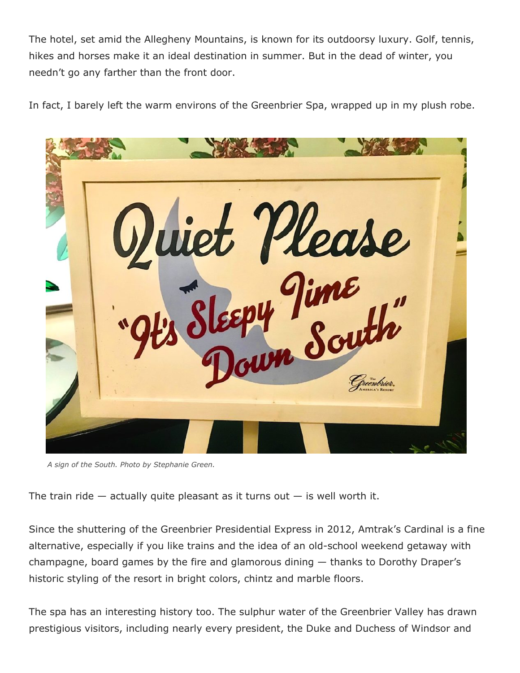The hotel, set amid the Allegheny Mountains, is known for its outdoorsy luxury. Golf, tennis, hikes and horses make it an ideal destination in summer. But in the dead of winter, you needn't go any farther than the front door.

In fact, I barely left the warm environs of the Greenbrier Spa, wrapped up in my plush robe.



*A sign of the South. Photo by Stephanie Green.*

The train ride  $-$  actually quite pleasant as it turns out  $-$  is well worth it.

Since the shuttering of the Greenbrier Presidential Express in 2012, Amtrak's Cardinal is a fine alternative, especially if you like trains and the idea of an old-school weekend getaway with champagne, board games by the fire and glamorous dining — thanks to Dorothy Draper's historic styling of the resort in bright colors, chintz and marble floors.

The spa has an interesting history too. The sulphur water of the Greenbrier Valley has drawn prestigious visitors, including nearly every president, the Duke and Duchess of Windsor and